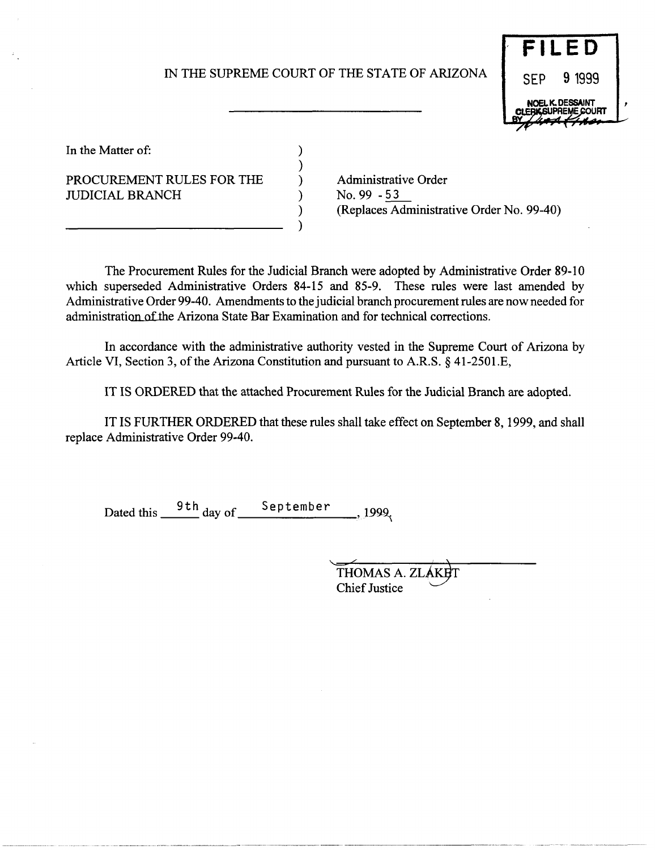# IN THE SUPREME COURT OF THE STATE OF ARIZONA

) ) ) ) ) )



In the Matter of:

PROCUREMENT RULES FOR THE JUDICIAL BRANCH

Administrative Order No. 99 - 53 (Replaces Administrative Order No. 99-40)

The Procurement Rules for the Judicial Branch were adopted by Administrative Order 89-10 which superseded Administrative Orders 84-15 and 85-9. These rules were last amended by Administrative Order 99-40. Amendments to the judicial branch procurement rules are now needed for administration of the Arizona State Bar Examination and for technical corrections.

In accordance with the administrative authority vested in the Supreme Court of Arizona by Article VI, Section 3, of the Arizona Constitution and pursuant to A.R.S. § 41-2501.E,

IT IS ORDERED that the attached Procurement Rules for the Judicial Branch are adopted.

IT IS FURTHER ORDERED that these rules shall take effect on September 8, 1999, and shall replace Administrative Order 99-40.

Dated this  $\frac{9 \text{ th}}{2}$  day of  $\frac{\text{September}}{2}$  , 1999.

THOMAS A. ZI **Chief Justice**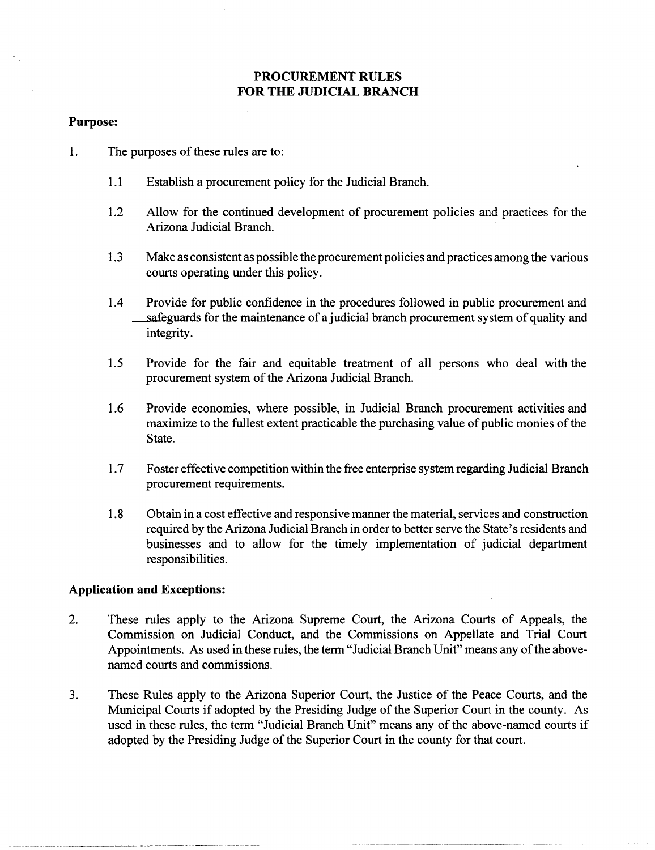## **PROCUREMENT RULES FOR THE JUDICIAL BRANCH**

#### **Purpose:**

- 1. The purposes of these rules are to:
	- 1.1 Establish a procurement policy for the Judicial Branch.
	- 1.2 Allow for the continued development of procurement policies and practices for the Arizona Judicial Branch.
	- 1.3 Make as consistent as possible the procurement policies and practices among the various courts operating under this policy.
	- 1.4 Provide for public confidence in the procedures followed in public procurement and safeguards for the maintenance of a judicial branch procurement system of quality and integrity.
	- 1.5 Provide for the fair and equitable treatment of all persons who deal with the procurement system of the Arizona Judicial Branch.
	- 1.6 Provide economies, where possible, in Judicial Branch procurement activities and maximize to the fullest extent practicable the purchasing value of public monies of the State.
	- 1.7 Foster effective competition within the free enterprise system regarding Judicial Branch procurement requirements.
	- 1.8 Obtain in a cost effective and responsive manner the material, services and construction required by the Arizona Judicial Branch in order to better serve the State's residents and businesses and to allow for the timely implementation of judicial department responsibilities.

## **Application and Exceptions:**

- 2. These rules apply to the Arizona Supreme Court, the Arizona Courts of Appeals, the Commission on Judicial Conduct, and the Commissions on Appellate and Trial Court Appointments. As used in these rules, the term "Judicial Branch Unit" means any of the abovenamed courts and commissions.
- 3. These Rules apply to the Arizona Superior Court, the Justice of the Peace Courts, and the Municipal Courts if adopted by the Presiding Judge of the Superior Court in the county. As used in these rules, the term "Judicial Branch Unit" means any of the above-named courts if adopted by the Presiding Judge of the Superior Court in the county for that court.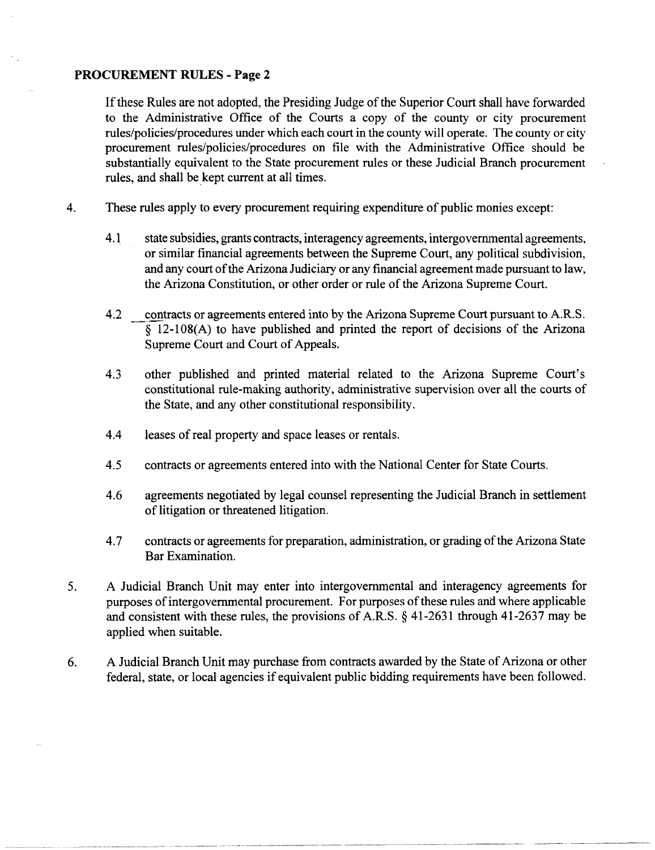If these Rules are not adopted, the Presiding Judge of the Superior Court shall have forwarded to the Administrative Office of the Courts a copy of the county or city procurement rules/policies/procedures under which each court in the county will operate. The county or city procurement rules/policies/procedures on file with the Administrative Office should be substantially equivalent to the State procurement rules or these Judicial Branch procurement rules, and shall be kept current at all times.

- 4. These rules apply to every procurement requiring expenditure of public monies except:
	- 4.1 state subsidies, grants contracts, interagency agreements, intergovernmental agreements, or similar financial agreements between the Supreme Court, any political subdivision, and any court of the Arizona Judiciary or any financial agreement made pursuant to law, the Arizona Constitution, or other order or rule of the Arizona Supreme Court.
	- 4.2 contracts or agreements entered into by the Arizona Supreme Court pursuant to A.R.S. § 12-108(A) to have published and printed the report of decisions of the Arizona Supreme Court and Court of Appeals.
	- 4.3 other published and printed material related to the Arizona Supreme Court's constitutional rule-making authority, administrative supervision over all the courts of the State, and any other constitutional responsibility.
	- 4.4 leases of real property and space leases or rentals.
	- 4.5 contracts or agreements entered into with the National Center for State Courts.
	- 4.6 agreements negotiated by legal counsel representing the Judicial Branch in settlement of litigation or threatened litigation.
	- 4.7 contracts or agreements for preparation, administration, or grading of the Arizona State Bar Examination.
- 5. A Judicial Branch Unit may enter into intergovernmental and interagency agreements for purposes of intergovernmental procurement. For purposes of these rules and where applicable and consistent with these rules, the provisions of A.R.S. § 41-2631 through 41-2637 may be applied when suitable.
- 6. A Judicial Branch Unit may purchase from contracts awarded by the State of Arizona or other federal, state, or local agencies if equivalent public bidding requirements have been followed.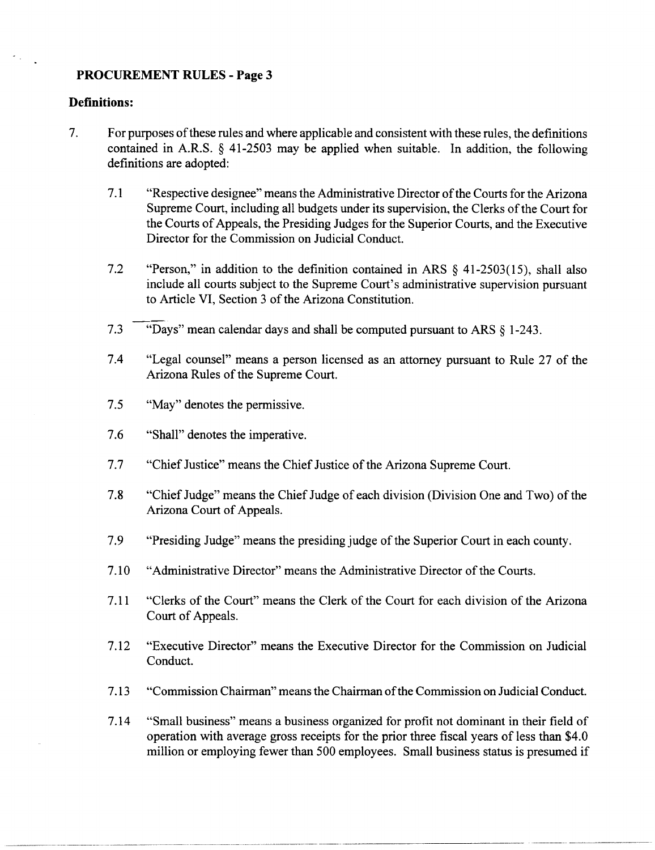### **Definitions:**

- 7. For purposes of these rules and where applicable and consistent with these rules, the definitions contained in A.R.S. § 41-2503 may be applied when suitable. In addition, the following definitions are adopted:
	- 7.1 "Respective designee" means the Administrative Director of the Courts for the Arizona Supreme Court, including all budgets under its supervision, the Clerks of the Court for the Courts of Appeals, the Presiding Judges for the Superior Courts, and the Executive Director for the Commission on Judicial Conduct.
	- 7.2 "Person," in addition to the definition contained in ARS § 41-2503(15), shall also include all courts subject to the Supreme Court's administrative supervision pursuant to Article VI, Section 3 of the Arizona Constitution.
	- 7.3 "Days" mean calendar days and shall be computed pursuant to ARS § 1-243.
	- 7.4 "Legal counsel" means a person licensed as an attorney pursuant to Rule 27 of the Arizona Rules of the Supreme Court.
	- 7.5 "May" denotes the permissive.
	- 7.6 "Shall" denotes the imperative.
	- 7.7 "Chief Justice" means the Chief Justice of the Arizona Supreme Court.
	- 7.8 "Chief Judge" means the Chief Judge of each division (Division One and Two) of the Arizona Court of Appeals.
	- 7.9 "Presiding Judge" means the presiding judge of the Superior Court in each county.
	- 7.10 "Administrative Director" means the Administrative Director ofthe Courts.
	- 7.11 "Clerks of the Court" means the Clerk of the Court for each division of the Arizona Court of Appeals.
	- 7.12 "Executive Director" means the Executive Director for the Commission on Judicial Conduct.
	- 7.13 "Commission Chairman" means the Chairman of the Commission on Judicial Conduct.
	- 7.14 "Small business" means a business organized for profit not dominant in their field of operation with average gross receipts for the prior three fiscal years of less than \$4.0 million or employing fewer than 500 employees. Small business status is presumed if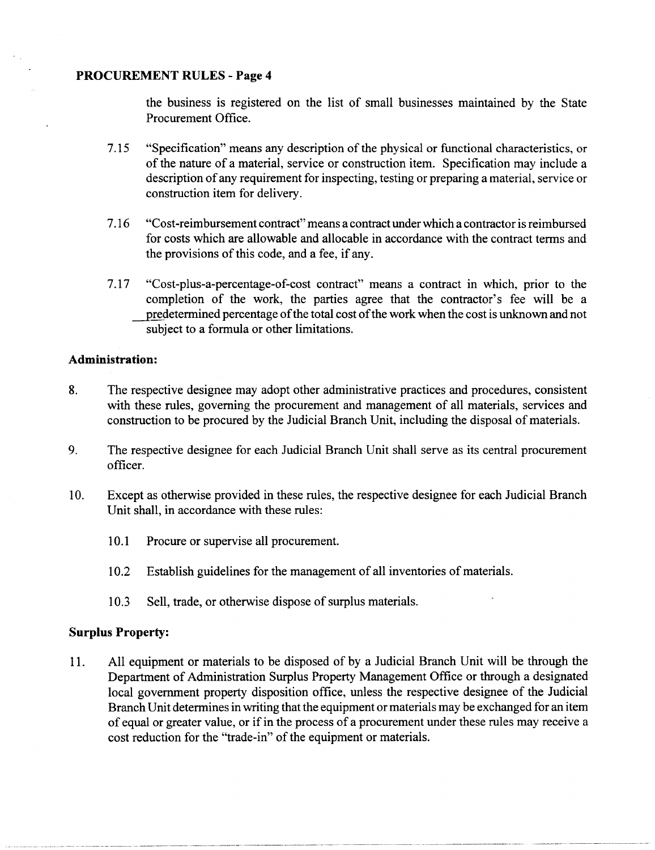the business is registered on the list of small businesses maintained by the State Procurement Office.

- 7.15 "Specification" means any description of the physical or functional characteristics, or of the nature of a material, service or construction item. Specification may include a description of any requirement for inspecting, testing or preparing a material, service or construction item for delivery.
- 7.16 "Cost-reimbursement contract" means a contract under which a contractor is reimbursed for costs which are allowable and allocable in accordance with the contract terms and the provisions of this code, and a fee, if any.
- 7.17 "Cost-plus-a-percentage-of-cost contract" means a contract in which, prior to the completion of the work, the parties agree that the contractor's fee will be a predetermined percentage of the total cost of the work when the cost is unknown and not subject to a formula or other limitations.

### **Administration:**

- 8. The respective designee may adopt other administrative practices and procedures, consistent with these rules, governing the procurement and management of all materials, services and construction to be procured by the Judicial Branch Unit, including the disposal of materials.
- 9. The respective designee for each Judicial Branch Unit shall serve as its central procurement officer.
- 10. Except as otherwise provided in these rules, the respective designee for each Judicial Branch Unit shall, in accordance with these rules:
	- 10.1 Procure or supervise all procurement.
	- 10.2 Establish guidelines for the management of all inventories of materials.
	- 10.3 Sell, trade, or otherwise dispose of surplus materials.

## **Surplus Property:**

11. All equipment or materials to be disposed of by a Judicial Branch Unit will be through the Department of Administration Surplus Property Management Office or through a designated local government property disposition office, unless the respective designee of the Judicial Branch Unit determines in writing that the equipment or materials may be exchanged for an item of equal or greater value, or if in the process of a procurement under these rules may receive a cost reduction for the "trade-in" of the equipment or materials.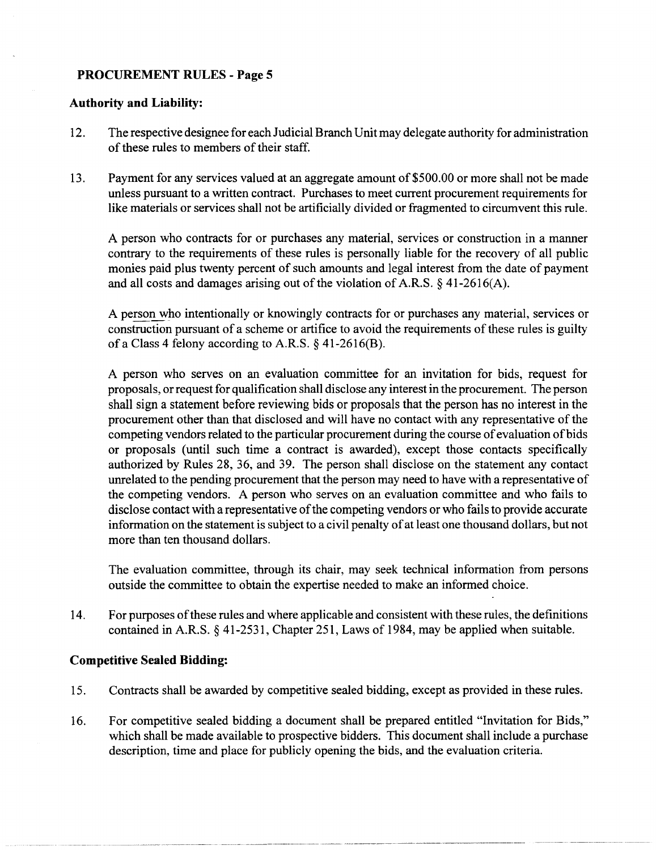### **Authority and Liability:**

- 12. The respective designee for each Judicial Branch Unit may delegate authority for administration of these rules to members of their staff.
- 13. Payment for any services valued at an aggregate amount of \$500.00 or more shall not be made unless pursuant to a written contract. Purchases to meet current procurement requirements for like materials or services shall not be artificially divided or fragmented to circumvent this rule.

A person who contracts for or purchases any material, services or construction in a manner contrary to the requirements of these rules is personally liable for the recovery of all public monies paid plus twenty percent of such amounts and legal interest from the date of payment and all costs and damages arising out of the violation of A.R.S. § 41-2616(A).

A person who intentionally or knowingly contracts for or purchases any material, services or construction pursuant of a scheme or artifice to avoid the requirements of these rules is guilty of a Class 4 felony according to A.R.S.  $\S$  41-2616(B).

A person who serves on an evaluation committee for an invitation for bids, request for proposals, or request for qualification shall disclose any interest in the procurement. The person shall sign a statement before reviewing bids or proposals that the person has no interest in the procurement other than that disclosed and will have no contact with any representative of the competing vendors related to the particular procurement during the course of evaluation of bids or proposals (until such time a contract is awarded), except those contacts specifically authorized by Rules 28, 36, and 39. The person shall disclose on the statement any contact unrelated to the pending procurement that the person may need to have with a representative of the competing vendors. A person who serves on an evaluation committee and who fails to disclose contact with a representative of the competing vendors or who fails to provide accurate information on the statement is subject to a civil penalty of at least one thousand dollars, but not more than ten thousand dollars.

The evaluation committee, through its chair, may seek technical information from persons outside the committee to obtain the expertise needed to make an informed choice.

14. For purposes of these rules and where applicable and consistent with these rules, the definitions contained in A.R.S. § 41-2531, Chapter 251, Laws of 1984, may be applied when suitable.

## **Competitive Sealed Bidding:**

- 15. Contracts shall be awarded by competitive sealed bidding, except as provided in these rules.
- 16. For competitive sealed bidding a document shall be prepared entitled "Invitation for Bids," which shall be made available to prospective bidders. This document shall include a purchase description, time and place for publicly opening the bids, and the evaluation criteria.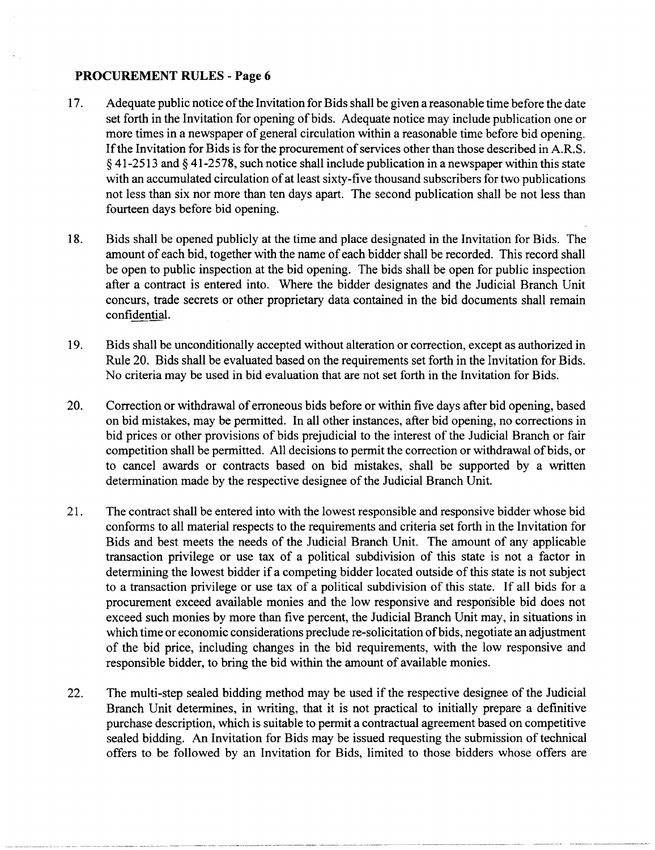- 17. Adequate public notice of the Invitation for Bids shall be given a reasonable time before the date set forth in the Invitation for opening of bids. Adequate notice may include publication one or more times in a newspaper of general circulation within a reasonable time before bid opening. If the Invitation for Bids is for the procurement of services other than those described in A.R.S. § 41-2513 and § 41-2578, such notice shall include publication in a newspaper within this state with an accumulated circulation of at least sixty-five thousand subscribers for two publications not less than six nor more than ten days apart. The second publication shall be not less than fourteen days before bid opening.
- 18. Bids shall be opened publicly at the time and place designated in the Invitation for Bids. The amount of each bid, together with the name of each bidder shall be recorded. This record shall be open to public inspection at the bid opening. The bids shall be open for public inspection after a contract is entered into. Where the bidder designates and the Judicial Branch Unit concurs, trade secrets or other proprietary data contained in the bid documents shall remain confidential.
- 19. Bids shall be unconditionally accepted without alteration or correction, except as authorized in Rule 20. Bids shall be evaluated based on the requirements set forth in the Invitation for Bids. No criteria may be used in bid evaluation that are not set forth in the Invitation for Bids.
- 20. Correction or withdrawal of erroneous bids before or within five days after bid opening, based on bid mistakes, may be permitted. In all other instances, after bid opening, no corrections in bid prices or other provisions of bids prejudicial to the interest of the Judicial Branch or fair competition shall be permitted. All decisions to permit the correction or withdrawal of bids, or to cancel awards or contracts based on bid mistakes, shall be supported by a written determination made by the respective designee of the Judicial Branch Unit.
- 21. The contract shall be entered into with the lowest responsible and responsive bidder whose bid conforms to all material respects to the requirements and criteria set forth in the Invitation for Bids and best meets the needs of the Judicial Branch Unit. The amount of any applicable transaction privilege or use tax of a political subdivision of this state is not a factor in determining the lowest bidder if a competing bidder located outside of this state is not subject to a transaction privilege or use tax of a political subdivision of this state. If all bids for a procurement exceed available monies and the low responsive and responsible bid does not exceed such monies by more than five percent, the Judicial Branch Unit may, in situations in which time or economic considerations preclude re-solicitation of bids, negotiate an adjustment of the bid price, including changes in the bid requirements, with the low responsive and responsible bidder, to bring the bid within the amount of available monies.
- 22. The multi-step sealed bidding method may be used if the respective designee of the Judicial Branch Unit determines, in writing, that it is not practical to initially prepare a definitive purchase description, which is suitable to permit a contractual agreement based on competitive sealed bidding. An Invitation for Bids may be issued requesting the submission of technical offers to be followed by an Invitation for Bids, limited to those bidders whose offers are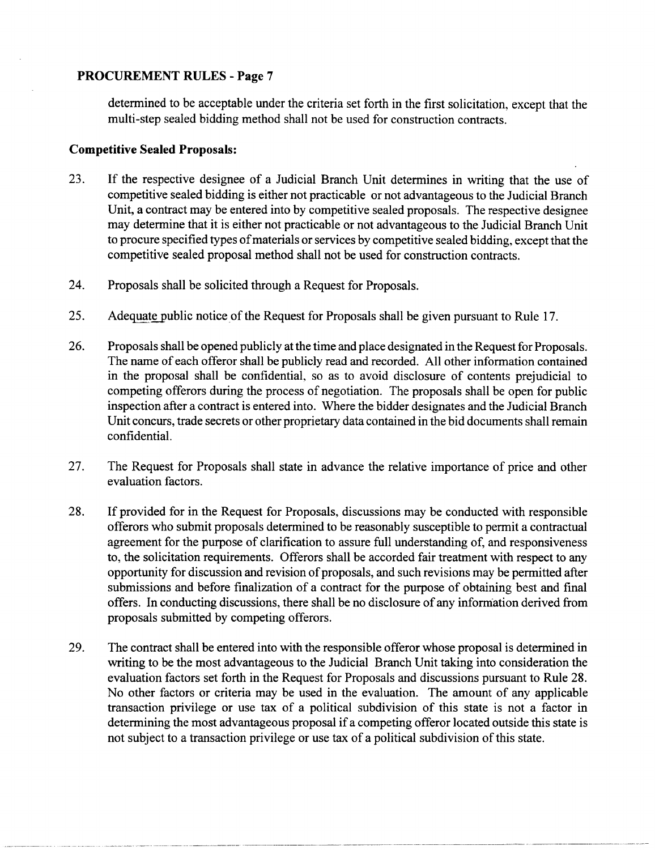determined to be acceptable under the criteria set forth in the first solicitation, except that the multi-step sealed bidding method shall not be used for construction contracts.

## **Competitive Sealed Proposals:**

- 23. If the respective designee of a Judicial Branch Unit determines in writing that the use of competitive sealed bidding is either not practicable or not advantageous to the Judicial Branch Unit, a contract may be entered into by competitive sealed proposals. The respective designee may determine that it is either not practicable or not advantageous to the Judicial Branch Unit to procure specified types of materials or services by competitive sealed bidding, except that the competitive sealed proposal method shall not be used for construction contracts.
- 24. Proposals shall be solicited through a Request for Proposals.
- 25. Adequate public notice of the Request for Proposals shall be given pursuant to Rule 17.
- 26. Proposals shall be opened publicly at the time and place designated in the Request for Proposals. The name of each offeror shall be publicly read and recorded. All other information contained in the proposal shall be confidential. so as to avoid disclosure of contents prejudicial to competing offerors during the process of negotiation. The proposals shall be open for public inspection after a contract is entered into. Where the bidder designates and the Judicial Branch Unit concurs, trade secrets or other proprietary data contained in the bid documents shall remain confidential.
- 27. The Request for Proposals shall state in advance the relative importance of price and other evaluation factors.
- 28. If provided for in the Request for Proposals, discussions may be conducted with responsible offerors who submit proposals determined to be reasonably susceptible to permit a contractual agreement for the purpose of clarification to assure full understanding of, and responsiveness to, the solicitation requirements. Offerors shall be accorded fair treatment with respect to any opportunity for discussion and revision of proposals, and such revisions may be permitted after submissions and before finalization of a contract for the purpose of obtaining best and final offers. In conducting discussions, there shall be no disclosure of any inforrriation derived from proposals submitted by competing offerors.
- 29. The contract shall be entered into with the responsible offeror whose proposal is determined in writing to be the most advantageous to the Judicial Branch Unit taking into consideration the evaluation factors set forth in the Request for Proposals and discussions pursuant to Rule 28. No other factors or criteria may be used in the evaluation. The amount of any applicable transaction privilege or use tax of a political subdivision of this state is not a factor in determining the most advantageous proposal if a competing offeror located outside this state is not subject to a transaction privilege or use tax of a political subdivision of this state.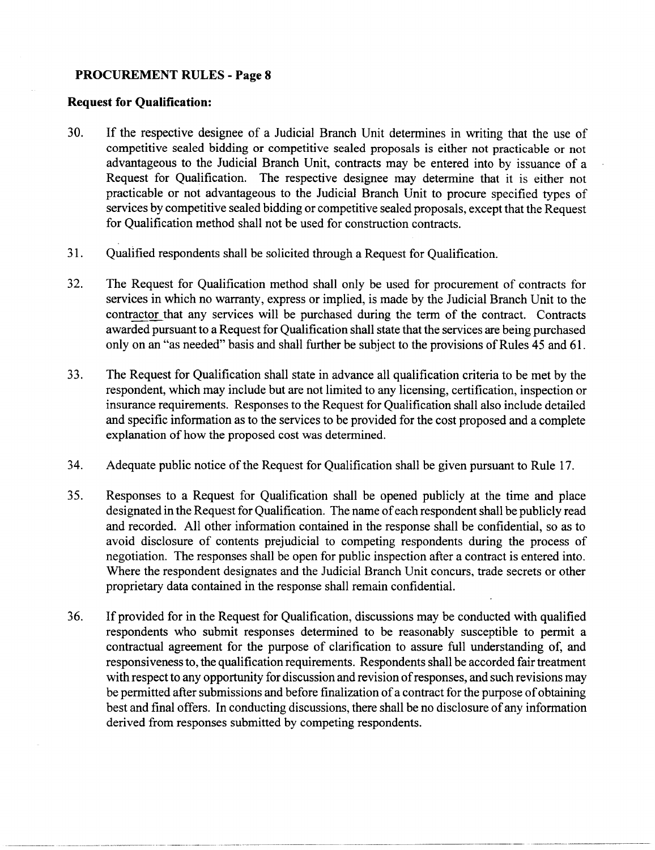### **Request for Qualification:**

- 30. If the respective designee of a Judicial Branch Unit determines in writing that the use of competitive sealed bidding or competitive sealed proposals is either not practicable or not advantageous to the Judicial Branch Unit, contracts may be entered into by issuance of a Request for Qualification. The respective designee may determine that it is either not practicable or not advantageous to the Judicial Branch Unit to procure specified types of services by competitive sealed bidding or competitive sealed proposals, except that the Request for Qualification method shall not be used for construction contracts.
- 31. Qualified respondents shall be solicited through a Request for Qualification.
- 32. The Request for Qualification method shall only be used for procurement of contracts for services in which no warranty, express or implied, is made by the Judicial Branch Unit to the contractor that any services will be purchased during the term of the contract. Contracts awarded pursuant to a Request for Qualification shall state that the services are being purchased only on an "as needed" basis and shall further be subject to the provisions of Rules 45 and 61.
- 33. The Request for Qualification shall state in advance all qualification criteria to be met by the respondent, which may include but are not limited to any licensing, certification, inspection or insurance requirements. Responses to the Request for Qualification shall also include detailed and specific information as to the services to be provided for the cost proposed and a complete explanation of how the proposed cost was determined.
- 34. Adequate public notice of the Request for Qualification shall be given pursuant to Rule 17.
- 35. Responses to a Request for Qualification shall be opened publicly at the time and place designated in the Request for Qualification. The name of each respondent shall be publicly read and recorded. All other information contained in the response shall be confidential, so as to avoid disclosure of contents prejudicial to competing respondents during the process of negotiation. The responses shall be open for public inspection after a contract is entered into. Where the respondent designates and the Judicial Branch Unit concurs, trade secrets or other proprietary data contained in the response shall remain confidential.
- 36. If provided for in the Request for Qualification, discussions may be conducted with qualified respondents who submit responses determined to be reasonably susceptible to permit a contractual agreement for the purpose of clarification to assure full understanding of, and responsiveness to, the qualification requirements. Respondents shall be accorded fair treatment with respect to any opportunity for discussion and revision of responses, and such revisions may be permitted after submissions and before finalization of a contract for the purpose of obtaining best and final offers. In conducting discussions, there shall be no disclosure of any information derived from responses submitted by competing respondents.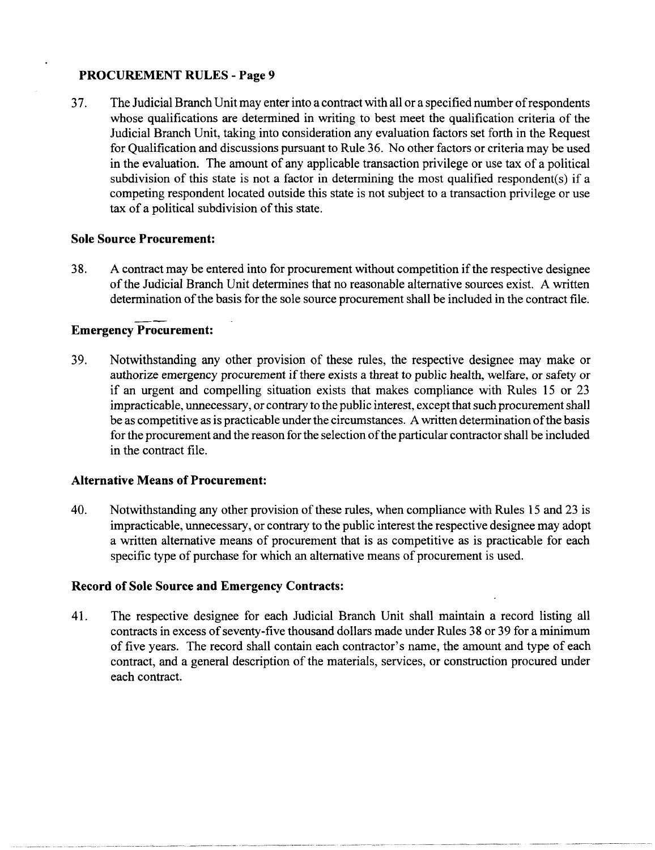37. The Judicial Branch Unit may enter into a contract with all or a specified number of respondents whose qualifications are determined in writing to best meet the qualification criteria of the Judicial Branch Unit, taking into consideration any evaluation factors set forth in the Request for Qualification and discussions pursuant to Rule 36. No other factors or criteria may be used in the evaluation. The amount of any applicable transaction privilege or use tax of a political subdivision of this state is not a factor in determining the most qualified respondent(s) if a competing respondent located outside this state is not subject to a transaction privilege or use tax of a political subdivision of this state.

## **Sole Source Procurement:**

38. A contract may be entered into for procurement without competition if the respective designee of the Judicial Branch Unit determines that no reasonable alternative sources exist. A written determination of the basis for the sole source procurement shall be included in the contract file.

# **Emergency Procurement:**

39. Notwithstanding any other provision of these rules, the respective designee may make or authorize emergency procurement if there exists a threat to public health, welfare, or safety or if an urgent and compelling situation exists that makes compliance with Rules 15 or 23 impracticable, unnecessary, or contrary to the public interest, except that such procurement shall be as competitive as is practicable under the circumstances. A written determination ofthe basis for the procurement and the reason for the selection of the particular contractor shall be included in the contract file.

## **Alternative Means of Procurement:**

40. Notwithstanding any other provision of these rules, when compliance with Rules 15 and 23 is impracticable, unnecessary, or contrary to the public interest the respective designee may adopt a written alternative means of procurement that is as competitive as is practicable for each specific type of purchase for which an alternative means of procurement is used.

## **Record of Sole Source and Emergency Contracts:**

41. The respective designee for each Judicial Branch Unit shall maintain a record listing all contracts in excess of seventy-five thousand dollars made under Rules 38 or 39 for a minimum of five years. The record shall contain each contractor's name, the amount and type of each contract, and a general description of the materials, services, or construction procured under each contract.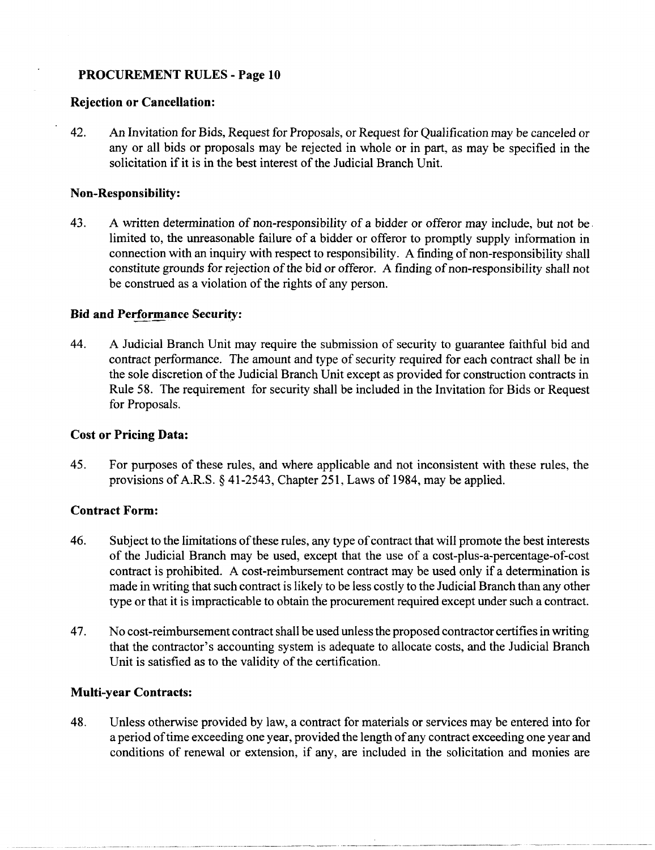### **Rejection or Cancellation:**

42. An Invitation for Bids, Request for Proposals, or Request for Qualification may be canceled or any or all bids or proposals may be rejected in whole or in part, as may be specified in the solicitation if it is in the best interest of the Judicial Branch Unit.

### **Non-Responsibility:**

43. A written determination of non-responsibility of a bidder or offeror may include, but not be. limited to, the unreasonable failure of a bidder or offeror to promptly supply information in connection with an inquiry with respect to responsibility. A finding of non-responsibility shall constitute grounds for rejection of the bid or offeror. A finding of non-responsibility shall not be construed as a violation of the rights of any person.

## **Bid and Performance Security:**

44. A Judicial Branch Unit may require the submission of security to guarantee faithful bid and contract performance. The amount and type of security required for each contract shall be in the sole discretion of the Judicial Branch Unit except as provided for construction contracts in Rule 58. The requirement for security shall be included in the Invitation for Bids or Request for Proposals.

## **Cost or Pricing Data:**

45. For purposes of these rules, and where applicable and not inconsistent with these rules, the provisions of A.R.S. § 41-2543, Chapter 251, Laws of 1984, may be applied.

## **Contract Form:**

- 46. Subject to the limitations of these rules, any type of contract that will promote the best interests of the Judicial Branch may be used, except that the use of a cost-plus-a-percentage-of-cost contract is prohibited. A cost-reimbursement contract may be used only if a determination is made in writing that such contract is likely to be less costly to the Judicial Branch than any other type or that it is impracticable to obtain the procurement required except under such a contract.
- 47. No cost -reimbursement contract shall be used unless the proposed contractor certifies in writing that the contractor's accounting system is adequate to allocate costs, and the Judicial Branch Unit is satisfied as to the validity of the certification.

## **Multi-year Contracts:**

48. Unless otherwise provided by law, a contract for materials or services may be entered into for a period of time exceeding one year, provided the length of any contract exceeding one year and conditions of renewal or extension, if any, are included in the solicitation and monies are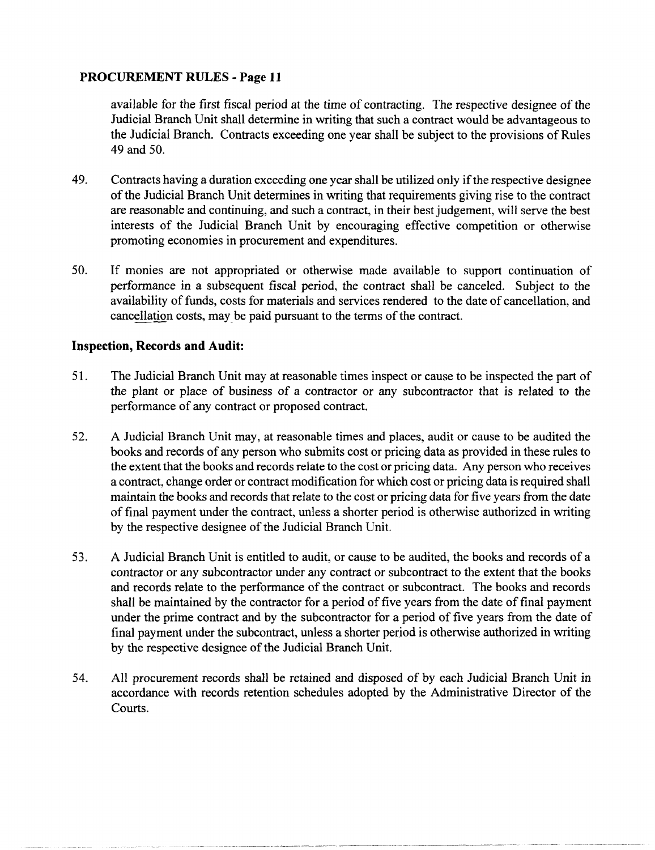available for the first fiscal period at the time of contracting. The respective designee of the Judicial Branch Unit shall determine in writing that such a contract would be advantageous to the Judicial Branch. Contracts exceeding one year shall be subject to the provisions of Rules 49 and 50.

- 49. Contracts having a duration exceeding one year shall be utilized only if the respective designee of the Judicial Branch Unit determines in writing that requirements giving rise to the contract are reasonable and continuing, and such a contract, in their best judgement, will serve the best interests of the Judicial Branch Unit by encouraging effective competition or otherwise promoting economies in procurement and expenditures.
- 50. If monies are not appropriated or otherwise made available to support continuation of performance in a subsequent fiscal period, the contract shall be canceled. Subject to the availability of funds, costs for materials and services rendered to the date of cancellation, and cancellation costs, may\_be paid pursuant to the terms of the contract.

## **Inspection, Records and Audit:**

- 51. The Judicial Branch Unit may at reasonable times inspect or cause to be inspected the part of the plant or place of business of a contractor or any subcontractor that is related to the performance of any contract or proposed contract.
- 52. A Judicial Branch Unit may, at reasonable times and places, audit or cause to be audited the books and records of any person who submits cost or pricing data as provided in these rules to the extent that the books and records relate to the cost or pricing data. Any person who receives a contract, change order or contract modification for which cost or pricing data is required shall maintain the books and records that relate to the cost or pricing data for five years from the date of final payment under the contract, unless a shorter period is otherwise authorized in writing by the respective designee of the Judicial Branch Unit.
- 53. A Judicial Branch Unit is entitled to audit, or cause to be audited, the books and records of a contractor or any subcontractor under any contract or subcontract to the extent that the books and records relate to the performance of the contract or subcontract. The books and records shall be maintained by the contractor for a period of five years from the date of final payment under the prime contract and by the subcontractor for a period of five years from the date of final payment under the subcontract, unless a shorter period is otherwise authorized in writing by the respective designee of the Judicial Branch Unit.
- 54. All procurement records shall be retained and disposed of by each Judicial Branch Unit in accordance with records retention schedules adopted by the Administrative Director of the Courts.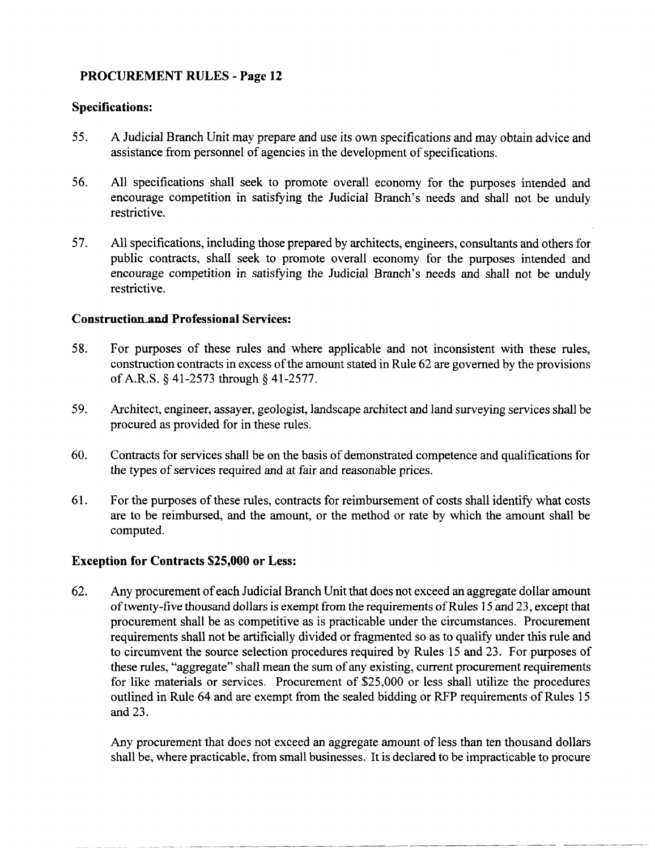## **Specifications:**

- 55. A Judicial Branch Unit may prepare and use its own specifications and may obtain advice and assistance from personnel of agencies in the development of specifications.
- 56. All specifications shall seek to promote overall economy for the purposes intended and encourage competition in satisfying the Judicial Branch's needs and shall not be unduly restrictive.
- 57. All specifications, including those prepared by architects, engineers, consultants and others for public contracts, shall seek to promote overall economy for the purposes intended and encourage competition in satisfying the Judicial Branch's needs and shall not be unduly restrictive.

## **Construction** and Professional **Services:**

- 58. For purposes of these rules and where applicable and not inconsistent with these rules, construction contracts in excess of the amount stated in Rule 62 are governed by the provisions of A.R.S. § 41-2573 through § 41-2577.
- 59. Architect, engineer, assayer, geologist, landscape architect and land surveying services shall be procured as provided for in these rules.
- 60. Contracts for services shall be on the basis of demonstrated competence and qualifications for the types of services required and at fair and reasonable prices.
- 61. For the purposes of these rules, contracts for reimbursement of costs shall identify what costs are to be reimbursed, and the amount, or the method or rate by which the amount shall be computed.

# **Exception for Contracts \$25,000 or Less:**

62. Any procurement of each Judicial Branch Unit that does not exceed an aggregate dollar amount of twenty-five thousand dollars is exempt from the requirements of Rules 15 and 23, except that procurement shall be as competitive as is practicable under the circumstances. Procurement requirements shall not be artificially divided or fragmented so as to qualify under this rule and to circumvent the source selection procedures required by Rules 15 and 23. For purposes of these rules, "aggregate" shall mean the sum of any existing, current procurement requirements for like materials or services. Procurement of \$25,000 or less shall utilize the procedures outlined in Rule 64 and are exempt from the sealed bidding or RFP requirements of Rules 15 and 23.

Any procurement that does not exceed an aggregate amount of less than ten thousand dollars shall be, where practicable, from small businesses. It is declared to be impracticable to procure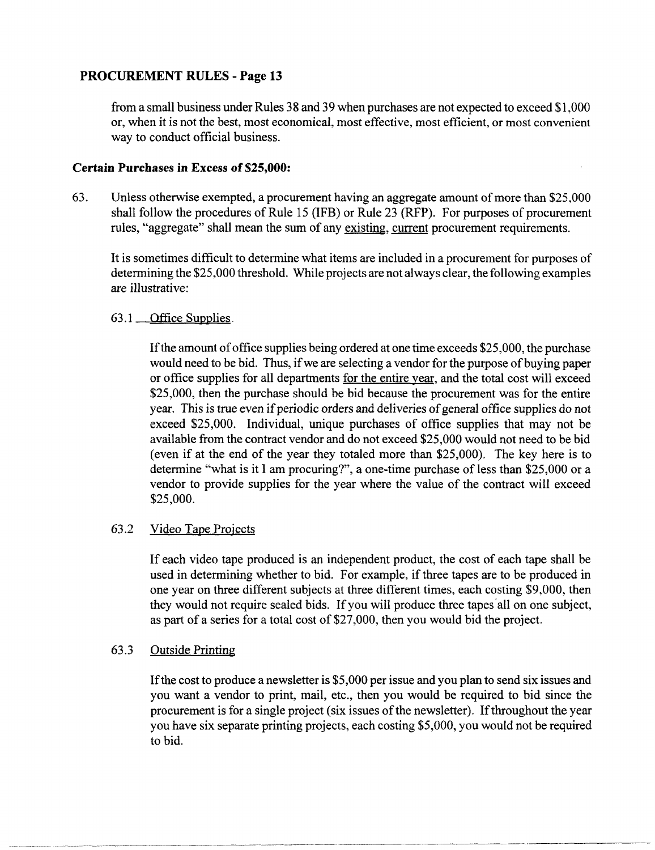from a small business under Rules 38 and 39 when purchases are not expected to exceed \$1,000 or, when it is not the best, most economical, most effective, most efficient, or most convenient way to conduct official business.

## Certain Purchases **in** Excess of \$25,000:

63. Unless otherwise exempted, a procurement having an aggregate amount of more than \$25,000 shall follow the procedures of Rule 15 (IFB) or Rule 23 (RFP). For purposes of procurement rules, "aggregate" shall mean the sum of any existing, current procurement requirements.

It is sometimes difficult to determine what items are included in a procurement for purposes of determining the \$25,000 threshold. While projects are not always clear, the following examples are illustrative:

# 63.1 Office Supplies

Ifthe amount of office supplies being ordered at one time exceeds \$25,000, the purchase would need to be bid. Thus, if we are selecting a vendor for the purpose of buying paper or office supplies for all departments for the entire year, and the total cost will exceed \$25,000, then the purchase should be bid because the procurement was for the entire year. This is true even if periodic orders and deliveries of general office supplies do not exceed \$25,000. Individual, unique purchases of office supplies that may not be available from the contract vendor and do not exceed \$25,000 would not need to be bid (even if at the end of the year they totaled more than \$25,000). The key here is to determine "what is it I am procuring?", a one-time purchase of less than  $$25,000$  or a vendor to provide supplies for the year where the value of the contract will exceed \$25,000.

# 63.2 Video Tape Projects

If each video tape produced is an independent product, the cost of each tape shall be used in determining whether to bid. For example, if three tapes are to be produced in one year on three different subjects at three different times, each costing \$9,000, then they would not require sealed bids. If you will produce three tapes-all on one subject, as part of a series for a total cost of \$27,000, then you would bid the project.

# 63.3 Outside Printing

If the cost to produce a newsletter is \$5,000 per issue and you plan to send six issues and you want a vendor to print, mail, etc., then you would be required to bid since the procurement is for a single project (six issues of the newsletter). If throughout the year you have six separate printing projects, each costing \$5,000, you would not be required to bid.

----~------------- -------------- --~----------.. --------------- ---------------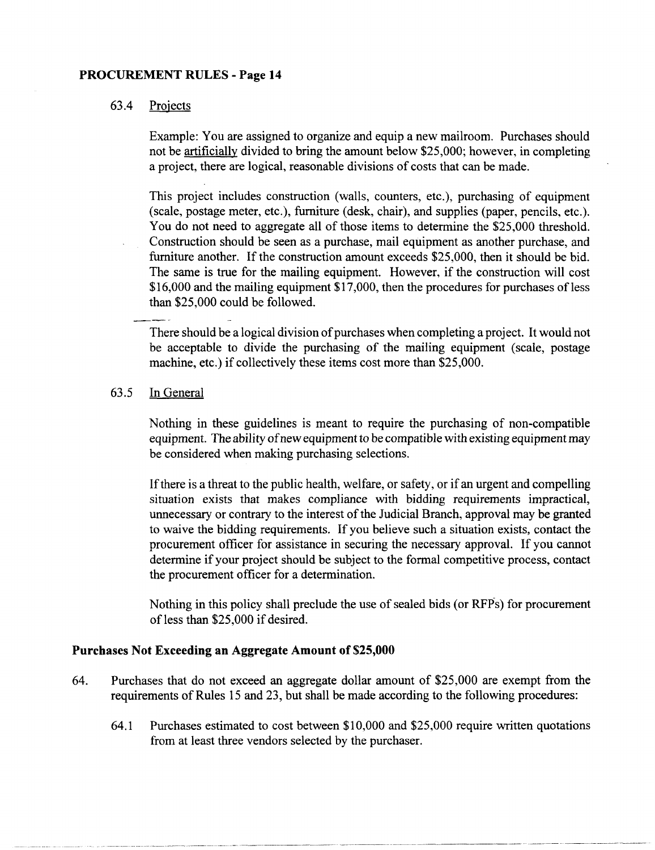## 63.4 Projects

Example: You are assigned to organize and equip a new mailroom. Purchases should not be artificially divided to bring the amount below \$25,000; however, in completing a project, there are logical, reasonable divisions of costs that can be made.

This project includes construction (walls, counters, etc.), purchasing of equipment (scale, postage meter, etc.), furniture (desk, chair), and supplies (paper, pencils, etc.). You do not need to aggregate all of those items to determine the \$25,000 threshold. Construction should be seen as a purchase, mail equipment as another purchase, and furniture another. If the construction amount exceeds \$25,000, then it should be bid. The same is true for the mailing equipment. However, if the construction will cost  $$16,000$  and the mailing equipment  $$17,000$ , then the procedures for purchases of less than \$25,000 could be followed.

There should be a logical division of purchases when completing a project. It would not be acceptable to divide the purchasing of the mailing equipment (scale, postage machine, etc.) if collectively these items cost more than \$25,000.

## 63.5 In General

Nothing in these guidelines is meant to require the purchasing of non-compatible equipment. The ability of new equipment to be compatible with existing equipment may be considered when making purchasing selections.

If there is a threat to the public health, welfare, or safety, or if an urgent and compelling situation exists that makes compliance with bidding requirements impractical, unnecessary or contrary to the interest of the Judicial Branch, approval may be granted to waive the bidding requirements. If you believe such a situation exists, contact the procurement officer for assistance in securing the necessary approval. If you cannot determine if your project should be subject to the formal competitive process, contact the procurement officer for a determination.

Nothing in this policy shall preclude the use of sealed bids (or RFPs) for procurement of less than \$25,000 if desired.

## **Purchases Not Exceeding an Aggregate Amount of \$25,000**

- 64. Purchases that do not exceed an aggregate dollar amount of \$25,000 are exempt from the requirements of Rules 15 and 23, but shall be made according to the following procedures:
	- 64.1 Purchases estimated to cost between \$10,000 and \$25,000 require written quotations from at least three vendors selected by the purchaser.

------.- .---... ---~-.. ----.-.~--.-